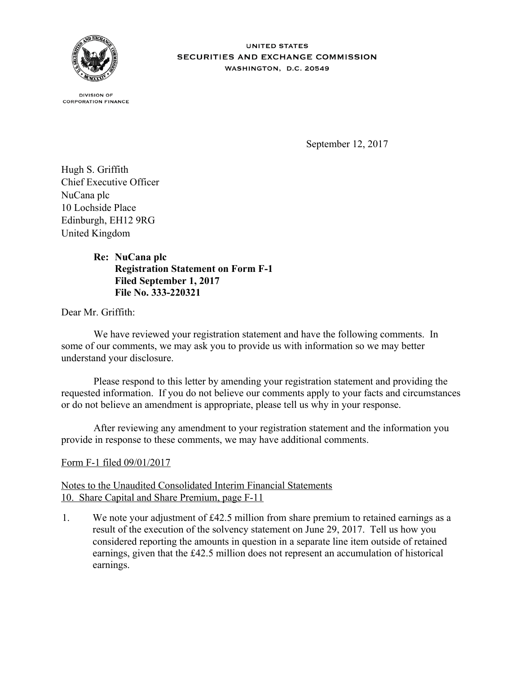

**UNITED STATES SECURITIES AND EXCHANGE COMMISSION** WASHINGTON, D.C. 20549

**DIVISION OF CORPORATION FINANCE** 

September 12, 2017

Hugh S. Griffith Chief Executive Officer NuCana plc 10 Lochside Place Edinburgh, EH12 9RG United Kingdom

## **NuCana plc Re: Registration Statement on Form F-1 Filed September 1, 2017 File No. 333-220321**

Dear Mr. Griffith:

We have reviewed your registration statement and have the following comments. In some of our comments, we may ask you to provide us with information so we may better understand your disclosure.

Please respond to this letter by amending your registration statement and providing the requested information. If you do not believe our comments apply to your facts and circumstances or do not believe an amendment is appropriate, please tell us why in your response.

After reviewing any amendment to your registration statement and the information you provide in response to these comments, we may have additional comments.

## Form F-1 filed 09/01/2017

## Notes to the Unaudited Consolidated Interim Financial Statements 10. Share Capital and Share Premium, page F-11

1. We note your adjustment of £42.5 million from share premium to retained earnings as a result of the execution of the solvency statement on June 29, 2017. Tell us how you considered reporting the amounts in question in a separate line item outside of retained earnings, given that the £42.5 million does not represent an accumulation of historical earnings.